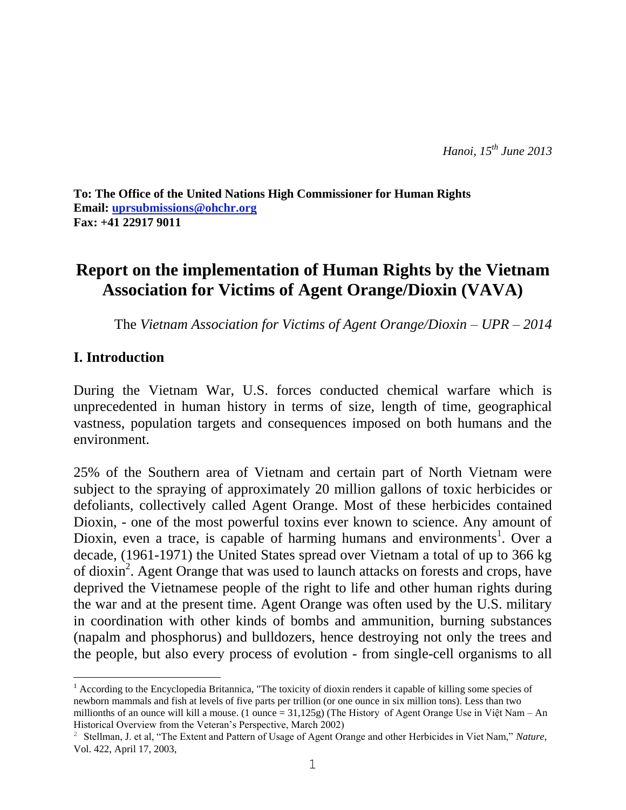**To: The Office of the United Nations High Commissioner for Human Rights Email: [uprsubmissions@ohchr.org](mailto:uprsubmissions@ohchr.org) Fax: +41 22917 9011**

# **Report on the implementation of Human Rights by the Vietnam Association for Victims of Agent Orange/Dioxin (VAVA)**

The *Vietnam Association for Victims of Agent Orange/Dioxin – UPR – 2014*

#### **I. Introduction**

 $\overline{a}$ 

During the Vietnam War, U.S. forces conducted chemical warfare which is unprecedented in human history in terms of size, length of time, geographical vastness, population targets and consequences imposed on both humans and the environment.

25% of the Southern area of Vietnam and certain part of North Vietnam were subject to the spraying of approximately 20 million gallons of toxic herbicides or defoliants, collectively called Agent Orange. Most of these herbicides contained Dioxin, - one of the most powerful toxins ever known to science. Any amount of Dioxin, even a trace, is capable of harming humans and environments<sup>1</sup>. Over a decade, (1961-1971) the United States spread over Vietnam a total of up to 366 kg of dioxin<sup>2</sup>. Agent Orange that was used to launch attacks on forests and crops, have deprived the Vietnamese people of the right to life and other human rights during the war and at the present time. Agent Orange was often used by the U.S. military in coordination with other kinds of bombs and ammunition, burning substances (napalm and phosphorus) and bulldozers, hence destroying not only the trees and the people, but also every process of evolution - from single-cell organisms to all

<sup>&</sup>lt;sup>1</sup> According to the Encyclopedia Britannica, "The toxicity of dioxin renders it capable of killing some species of newborn mammals and fish at levels of five parts per trillion (or one ounce in six million tons). Less than two millionths of an ounce will kill a mouse. (1 ounce = 31,125g) (The History of Agent Orange Use in Việt Nam – An Historical Overview from the Veteran's Perspective, March 2002)

<sup>2</sup> Stellman, J. et al, "The Extent and Pattern of Usage of Agent Orange and other Herbicides in Viet Nam," *Nature*, Vol. 422, April 17, 2003,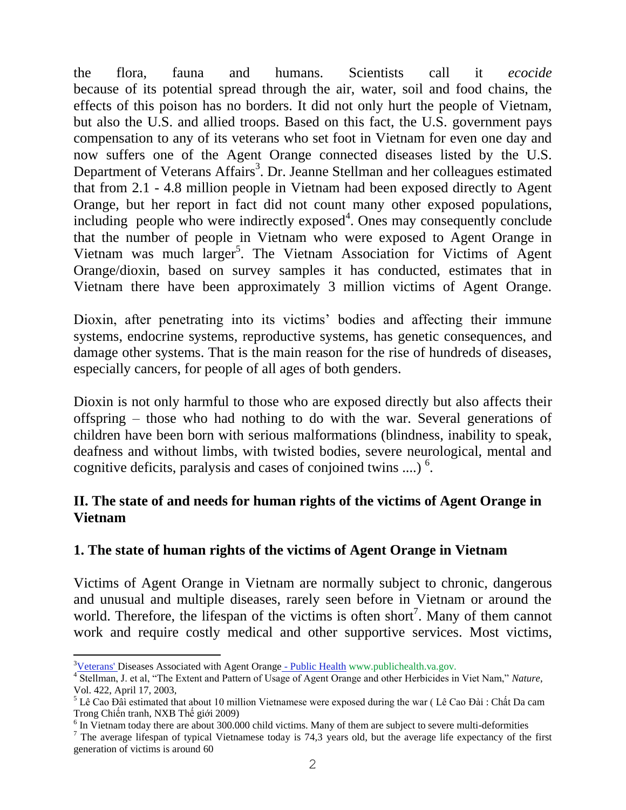the flora, fauna and humans. Scientists call it *ecocide* because of its potential spread through the air, water, soil and food chains, the effects of this poison has no borders. It did not only hurt the people of Vietnam, but also the U.S. and allied troops. Based on this fact, the U.S. government pays compensation to any of its veterans who set foot in Vietnam for even one day and now suffers one of the Agent Orange connected diseases listed by the U.S. Department of Veterans Affairs<sup>3</sup>. Dr. Jeanne Stellman and her colleagues estimated that from 2.1 - 4.8 million people in Vietnam had been exposed directly to Agent Orange, but her report in fact did not count many other exposed populations,  $including$  people who were indirectly exposed<sup>4</sup>. Ones may consequently conclude that the number of people in Vietnam who were exposed to Agent Orange in Vietnam was much larger<sup>5</sup>. The Vietnam Association for Victims of Agent Orange/dioxin, based on survey samples it has conducted, estimates that in Vietnam there have been approximately 3 million victims of Agent Orange.

Dioxin, after penetrating into its victims' bodies and affecting their immune systems, endocrine systems, reproductive systems, has genetic consequences, and damage other systems. That is the main reason for the rise of hundreds of diseases, especially cancers, for people of all ages of both genders.

Dioxin is not only harmful to those who are exposed directly but also affects their offspring – those who had nothing to do with the war. Several generations of children have been born with serious malformations (blindness, inability to speak, deafness and without limbs, with twisted bodies, severe neurological, mental and cognitive deficits, paralysis and cases of conjoined twins ....)  $6$ .

## **II. The state of and needs for human rights of the victims of Agent Orange in Vietnam**

## **1. The state of human rights of the victims of Agent Orange in Vietnam**

Victims of Agent Orange in Vietnam are normally subject to chronic, dangerous and unusual and multiple diseases, rarely seen before in Vietnam or around the world. Therefore, the lifespan of the victims is often short<sup>7</sup>. Many of them cannot work and require costly medical and other supportive services. Most victims,

 $\overline{a}$ 

 $3$ [Veterans' Diseases Associated with Agent Orange](http://www.google.com.vn/url?sa=t&rct=j&q=va%20list%20of%20diseases%20associated%20with%20agent%20orange&source=web&cd=1&cad=rja&ved=0CCwQFjAA&url=http%3A%2F%2Fwww.publichealth.va.gov%2Fexposures%2Fagentorange%2Fdiseases.asp&ei=mgizUfngA8nZigfW7oDIDA&usg=AFQjCNGFJfOgWhwxU5lQ_ylgzPY7e1Hlzg) - Public Health www.publichealth.va.gov.

<sup>4</sup> Stellman, J. et al, "The Extent and Pattern of Usage of Agent Orange and other Herbicides in Viet Nam," *Nature*, Vol. 422, April 17, 2003,

 $<sup>5</sup>$  Lê Cao Đâì estimated that about 10 million Vietnamese were exposed during the war (Lê Cao Đài : Chất Da cam</sup> Trong Chiến tranh, NXB Thế giới 2009)

<sup>&</sup>lt;sup>6</sup> In Vietnam today there are about 300.000 child victims. Many of them are subject to severe multi-deformities

 $<sup>7</sup>$  The average lifespan of typical Vietnamese today is 74,3 years old, but the average life expectancy of the first</sup> generation of victims is around 60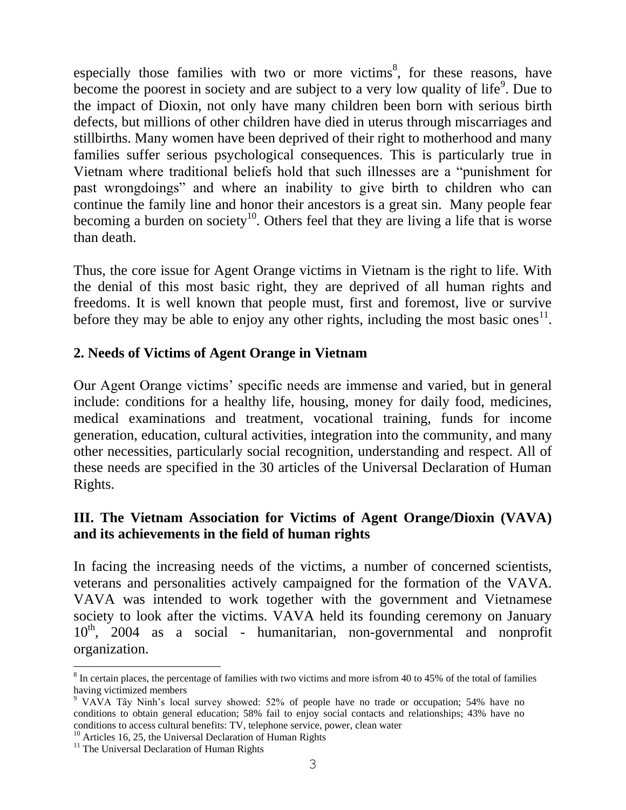especially those families with two or more victims<sup>8</sup>, for these reasons, have become the poorest in society and are subject to a very low quality of life<sup>9</sup>. Due to the impact of Dioxin, not only have many children been born with serious birth defects, but millions of other children have died in uterus through miscarriages and stillbirths. Many women have been deprived of their right to motherhood and many families suffer serious psychological consequences. This is particularly true in Vietnam where traditional beliefs hold that such illnesses are a "punishment for past wrongdoings" and where an inability to give birth to children who can continue the family line and honor their ancestors is a great sin. Many people fear becoming a burden on society<sup>10</sup>. Others feel that they are living a life that is worse than death.

Thus, the core issue for Agent Orange victims in Vietnam is the right to life. With the denial of this most basic right, they are deprived of all human rights and freedoms. It is well known that people must, first and foremost, live or survive before they may be able to enjoy any other rights, including the most basic ones<sup>11</sup>.

#### **2. Needs of Victims of Agent Orange in Vietnam**

Our Agent Orange victims' specific needs are immense and varied, but in general include: conditions for a healthy life, housing, money for daily food, medicines, medical examinations and treatment, vocational training, funds for income generation, education, cultural activities, integration into the community, and many other necessities, particularly social recognition, understanding and respect. All of these needs are specified in the 30 articles of the Universal Declaration of Human Rights.

## **III. The Vietnam Association for Victims of Agent Orange/Dioxin (VAVA) and its achievements in the field of human rights**

In facing the increasing needs of the victims, a number of concerned scientists, veterans and personalities actively campaigned for the formation of the VAVA. VAVA was intended to work together with the government and Vietnamese society to look after the victims. VAVA held its founding ceremony on January  $10<sup>th</sup>$ , 2004 as a social - humanitarian, non-governmental and nonprofit organization.

<sup>10</sup> Articles 16, 25, the Universal Declaration of Human Rights

 $\overline{a}$ 

 $8 \text{ In certain places, the percentage of families with two" of terms and more is from 40 to 45% of the total of families.}$ having victimized members

<sup>9</sup> VAVA Tây Ninh's local survey showed: 52% of people have no trade or occupation; 54% have no conditions to obtain general education; 58% fail to enjoy social contacts and relationships; 43% have no conditions to access cultural benefits: TV, telephone service, power, clean water

<sup>&</sup>lt;sup>11</sup> The Universal Declaration of Human Rights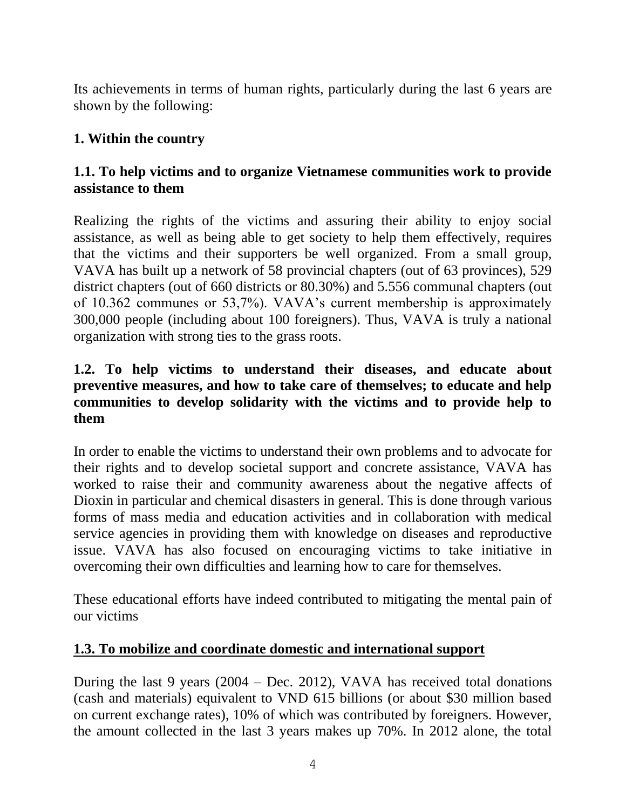Its achievements in terms of human rights, particularly during the last 6 years are shown by the following:

# **1. Within the country**

## **1.1. To help victims and to organize Vietnamese communities work to provide assistance to them**

Realizing the rights of the victims and assuring their ability to enjoy social assistance, as well as being able to get society to help them effectively, requires that the victims and their supporters be well organized. From a small group, VAVA has built up a network of 58 provincial chapters (out of 63 provinces), 529 district chapters (out of 660 districts or 80.30%) and 5.556 communal chapters (out of 10.362 communes or 53,7%). VAVA's current membership is approximately 300,000 people (including about 100 foreigners). Thus, VAVA is truly a national organization with strong ties to the grass roots.

#### **1.2. To help victims to understand their diseases, and educate about preventive measures, and how to take care of themselves; to educate and help communities to develop solidarity with the victims and to provide help to them**

In order to enable the victims to understand their own problems and to advocate for their rights and to develop societal support and concrete assistance, VAVA has worked to raise their and community awareness about the negative affects of Dioxin in particular and chemical disasters in general. This is done through various forms of mass media and education activities and in collaboration with medical service agencies in providing them with knowledge on diseases and reproductive issue. VAVA has also focused on encouraging victims to take initiative in overcoming their own difficulties and learning how to care for themselves.

These educational efforts have indeed contributed to mitigating the mental pain of our victims

## **1.3. To mobilize and coordinate domestic and international support**

During the last 9 years (2004 – Dec. 2012), VAVA has received total donations (cash and materials) equivalent to VND 615 billions (or about \$30 million based on current exchange rates), 10% of which was contributed by foreigners. However, the amount collected in the last 3 years makes up 70%. In 2012 alone, the total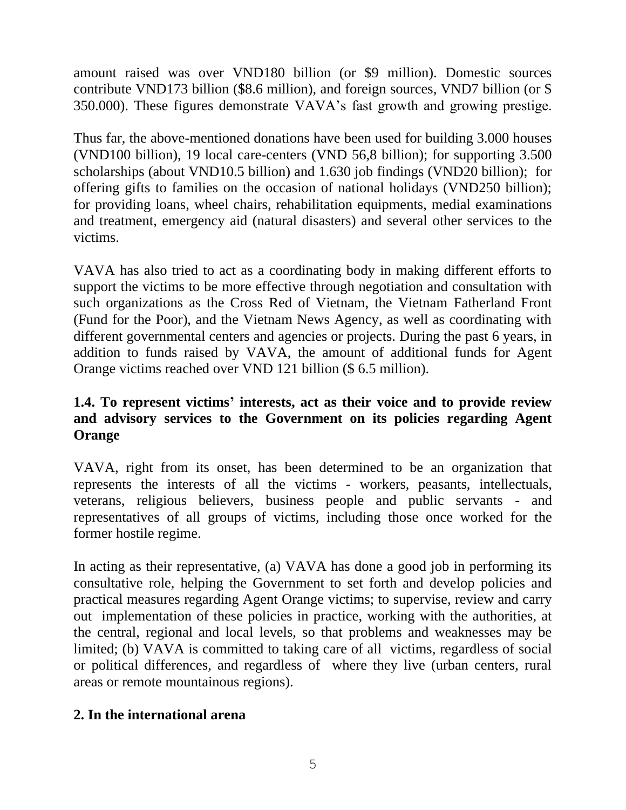amount raised was over VND180 billion (or \$9 million). Domestic sources contribute VND173 billion (\$8.6 million), and foreign sources, VND7 billion (or \$ 350.000). These figures demonstrate VAVA's fast growth and growing prestige.

Thus far, the above-mentioned donations have been used for building 3.000 houses (VND100 billion), 19 local care-centers (VND 56,8 billion); for supporting 3.500 scholarships (about VND10.5 billion) and 1.630 job findings (VND20 billion); for offering gifts to families on the occasion of national holidays (VND250 billion); for providing loans, wheel chairs, rehabilitation equipments, medial examinations and treatment, emergency aid (natural disasters) and several other services to the victims.

VAVA has also tried to act as a coordinating body in making different efforts to support the victims to be more effective through negotiation and consultation with such organizations as the Cross Red of Vietnam, the Vietnam Fatherland Front (Fund for the Poor), and the Vietnam News Agency, as well as coordinating with different governmental centers and agencies or projects. During the past 6 years, in addition to funds raised by VAVA, the amount of additional funds for Agent Orange victims reached over VND 121 billion (\$ 6.5 million).

# **1.4. To represent victims' interests, act as their voice and to provide review and advisory services to the Government on its policies regarding Agent Orange**

VAVA, right from its onset, has been determined to be an organization that represents the interests of all the victims - workers, peasants, intellectuals, veterans, religious believers, business people and public servants - and representatives of all groups of victims, including those once worked for the former hostile regime.

In acting as their representative, (a) VAVA has done a good job in performing its consultative role, helping the Government to set forth and develop policies and practical measures regarding Agent Orange victims; to supervise, review and carry out implementation of these policies in practice, working with the authorities, at the central, regional and local levels, so that problems and weaknesses may be limited; (b) VAVA is committed to taking care of all victims, regardless of social or political differences, and regardless of where they live (urban centers, rural areas or remote mountainous regions).

#### **2. In the international arena**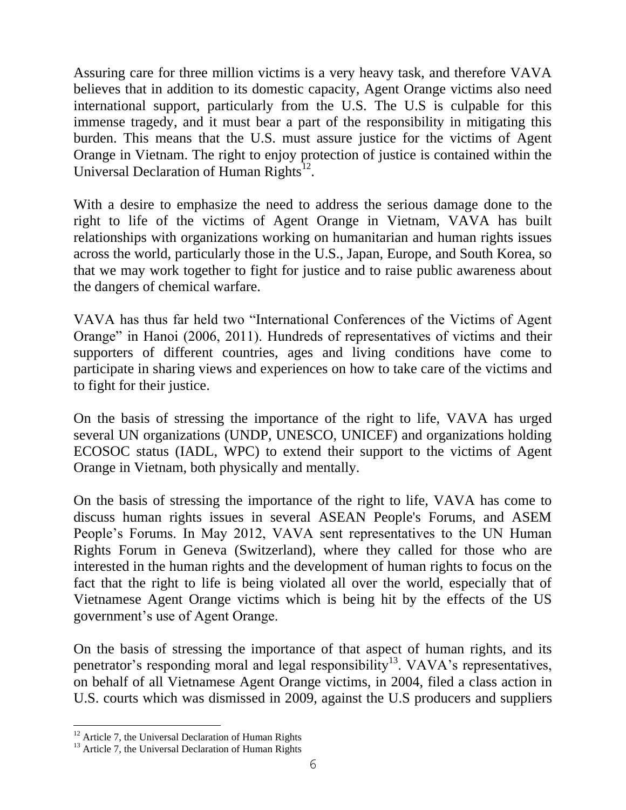Assuring care for three million victims is a very heavy task, and therefore VAVA believes that in addition to its domestic capacity, Agent Orange victims also need international support, particularly from the U.S. The U.S is culpable for this immense tragedy, and it must bear a part of the responsibility in mitigating this burden. This means that the U.S. must assure justice for the victims of Agent Orange in Vietnam. The right to enjoy protection of justice is contained within the Universal Declaration of Human Rights<sup>12</sup>.

With a desire to emphasize the need to address the serious damage done to the right to life of the victims of Agent Orange in Vietnam, VAVA has built relationships with organizations working on humanitarian and human rights issues across the world, particularly those in the U.S., Japan, Europe, and South Korea, so that we may work together to fight for justice and to raise public awareness about the dangers of chemical warfare.

VAVA has thus far held two "International Conferences of the Victims of Agent Orange" in Hanoi (2006, 2011). Hundreds of representatives of victims and their supporters of different countries, ages and living conditions have come to participate in sharing views and experiences on how to take care of the victims and to fight for their justice.

On the basis of stressing the importance of the right to life, VAVA has urged several UN organizations (UNDP, UNESCO, UNICEF) and organizations holding ECOSOC status (IADL, WPC) to extend their support to the victims of Agent Orange in Vietnam, both physically and mentally.

On the basis of stressing the importance of the right to life, VAVA has come to discuss human rights issues in several ASEAN People's Forums, and ASEM People's Forums. In May 2012, VAVA sent representatives to the UN Human Rights Forum in Geneva (Switzerland), where they called for those who are interested in the human rights and the development of human rights to focus on the fact that the right to life is being violated all over the world, especially that of Vietnamese Agent Orange victims which is being hit by the effects of the US government's use of Agent Orange.

On the basis of stressing the importance of that aspect of human rights, and its penetrator's responding moral and legal responsibility<sup>13</sup>. VAVA's representatives, on behalf of all Vietnamese Agent Orange victims, in 2004, filed a class action in U.S. courts which was dismissed in 2009, against the U.S producers and suppliers

 $\overline{a}$ 

 $12$  Article 7, the Universal Declaration of Human Rights

<sup>&</sup>lt;sup>13</sup> Article 7, the Universal Declaration of Human Rights